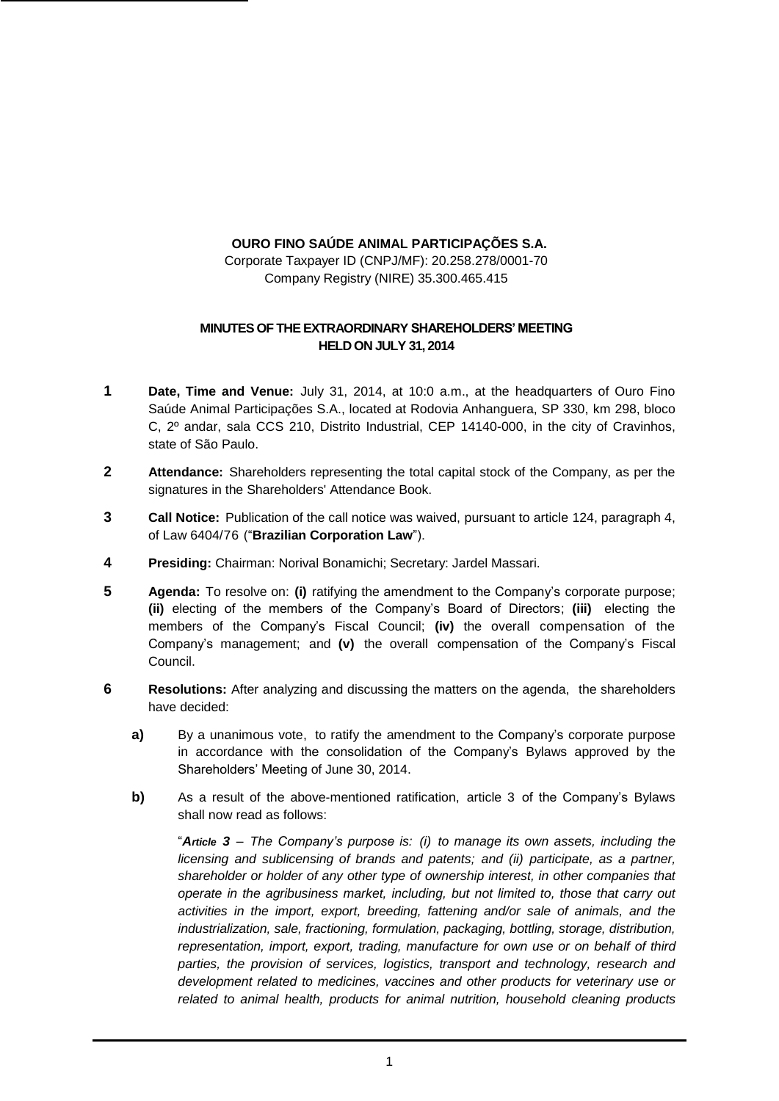## **OURO FINO SAÚDE ANIMAL PARTICIPAÇÕES S.A.**

Corporate Taxpayer ID (CNPJ/MF): 20.258.278/0001-70 Company Registry (NIRE) 35.300.465.415

## **MINUTES OF THE EXTRAORDINARY SHAREHOLDERS' MEETING HELD ON JULY 31, 2014**

- **1 Date, Time and Venue:** July 31, 2014, at 10:0 a.m., at the headquarters of Ouro Fino Saúde Animal Participações S.A., located at Rodovia Anhanguera, SP 330, km 298, bloco C, 2º andar, sala CCS 210, Distrito Industrial, CEP 14140-000, in the city of Cravinhos, state of São Paulo.
- **2 Attendance:** Shareholders representing the total capital stock of the Company, as per the signatures in the Shareholders' Attendance Book.
- **3 Call Notice:** Publication of the call notice was waived, pursuant to article 124, paragraph 4, of Law 6404/76 ("**Brazilian Corporation Law**").
- **4 Presiding:** Chairman: Norival Bonamichi; Secretary: Jardel Massari.
- **5 Agenda:** To resolve on: **(i)** ratifying the amendment to the Company's corporate purpose; **(ii)** electing of the members of the Company's Board of Directors; **(iii)** electing the members of the Company's Fiscal Council; **(iv)** the overall compensation of the Company's management; and **(v)** the overall compensation of the Company's Fiscal Council.
- **6 Resolutions:** After analyzing and discussing the matters on the agenda, the shareholders have decided:
	- **a)** By a unanimous vote, to ratify the amendment to the Company's corporate purpose in accordance with the consolidation of the Company's Bylaws approved by the Shareholders' Meeting of June 30, 2014.
	- **b)** As a result of the above-mentioned ratification, article 3 of the Company's Bylaws shall now read as follows:

"*Article 3 – The Company's purpose is: (i) to manage its own assets, including the licensing and sublicensing of brands and patents; and (ii) participate, as a partner, shareholder or holder of any other type of ownership interest, in other companies that operate in the agribusiness market, including, but not limited to, those that carry out activities in the import, export, breeding, fattening and/or sale of animals, and the industrialization, sale, fractioning, formulation, packaging, bottling, storage, distribution, representation, import, export, trading, manufacture for own use or on behalf of third parties, the provision of services, logistics, transport and technology, research and development related to medicines, vaccines and other products for veterinary use or related to animal health, products for animal nutrition, household cleaning products*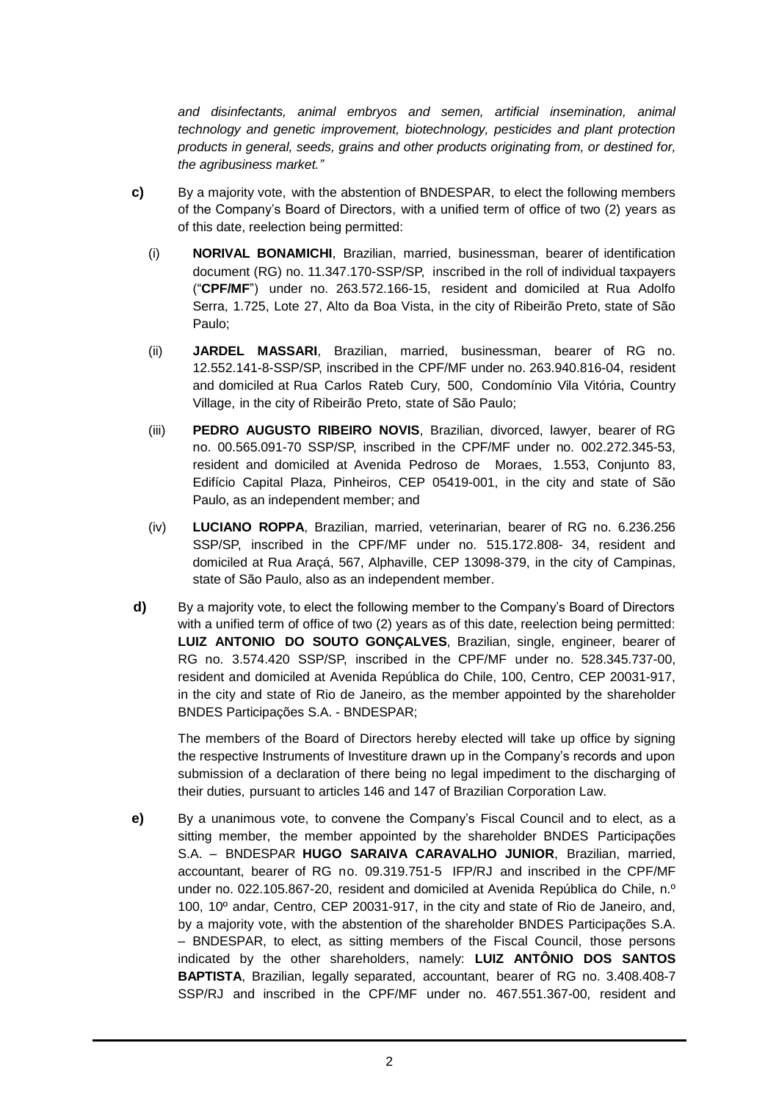*and disinfectants, animal embryos and semen, artificial insemination, animal technology and genetic improvement, biotechnology, pesticides and plant protection products in general, seeds, grains and other products originating from, or destined for, the agribusiness market."*

- **c)** By a majority vote, with the abstention of BNDESPAR, to elect the following members of the Company's Board of Directors, with a unified term of office of two (2) years as of this date, reelection being permitted:
	- (i) **NORIVAL BONAMICHI**, Brazilian, married, businessman, bearer of identification document (RG) no. 11.347.170-SSP/SP, inscribed in the roll of individual taxpayers ("**CPF/MF**") under no. 263.572.166-15, resident and domiciled at Rua Adolfo Serra, 1.725, Lote 27, Alto da Boa Vista, in the city of Ribeirão Preto, state of São Paulo;
	- (ii) **JARDEL MASSARI**, Brazilian, married, businessman, bearer of RG no. 12.552.141-8-SSP/SP, inscribed in the CPF/MF under no. 263.940.816-04, resident and domiciled at Rua Carlos Rateb Cury, 500, Condomínio Vila Vitória, Country Village, in the city of Ribeirão Preto, state of São Paulo;
	- (iii) **PEDRO AUGUSTO RIBEIRO NOVIS**, Brazilian, divorced, lawyer, bearer of RG no. 00.565.091-70 SSP/SP, inscribed in the CPF/MF under no. 002.272.345-53, resident and domiciled at Avenida Pedroso de Moraes, 1.553, Conjunto 83, Edifício Capital Plaza, Pinheiros, CEP 05419-001, in the city and state of São Paulo, as an independent member; and
	- (iv) **LUCIANO ROPPA**, Brazilian, married, veterinarian, bearer of RG no. 6.236.256 SSP/SP, inscribed in the CPF/MF under no. 515.172.808- 34, resident and domiciled at Rua Araçá, 567, Alphaville, CEP 13098-379, in the city of Campinas, state of São Paulo, also as an independent member.
- **d)** By a majority vote, to elect the following member to the Company's Board of Directors with a unified term of office of two (2) years as of this date, reelection being permitted: **LUIZ ANTONIO DO SOUTO GONÇALVES**, Brazilian, single, engineer, bearer of RG no. 3.574.420 SSP/SP, inscribed in the CPF/MF under no. 528.345.737-00, resident and domiciled at Avenida República do Chile, 100, Centro, CEP 20031-917, in the city and state of Rio de Janeiro, as the member appointed by the shareholder BNDES Participações S.A. - BNDESPAR;

The members of the Board of Directors hereby elected will take up office by signing the respective Instruments of Investiture drawn up in the Company's records and upon submission of a declaration of there being no legal impediment to the discharging of their duties, pursuant to articles 146 and 147 of Brazilian Corporation Law.

**e)** By a unanimous vote, to convene the Company's Fiscal Council and to elect, as a sitting member, the member appointed by the shareholder BNDES Participações S.A. – BNDESPAR **HUGO SARAIVA CARAVALHO JUNIOR**, Brazilian, married, accountant, bearer of RG no. 09.319.751-5 IFP/RJ and inscribed in the CPF/MF under no. 022.105.867-20, resident and domiciled at Avenida República do Chile, n.º 100, 10º andar, Centro, CEP 20031-917, in the city and state of Rio de Janeiro, and, by a majority vote, with the abstention of the shareholder BNDES Participações S.A. – BNDESPAR, to elect, as sitting members of the Fiscal Council, those persons indicated by the other shareholders, namely: **LUIZ ANTÔNIO DOS SANTOS BAPTISTA**, Brazilian, legally separated, accountant, bearer of RG no. 3.408.408-7 SSP/RJ and inscribed in the CPF/MF under no. 467.551.367-00, resident and